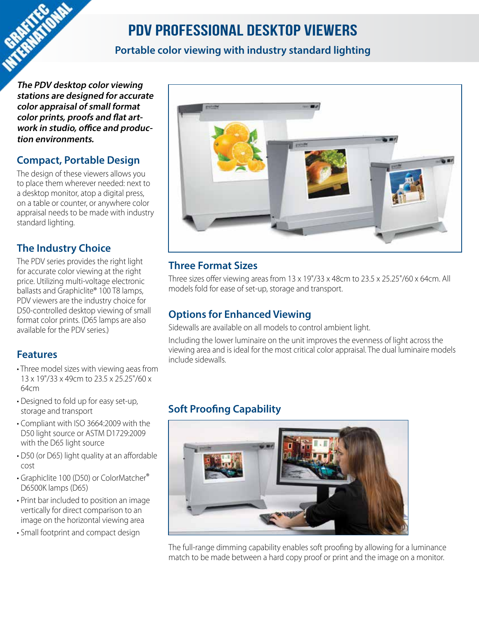# PDV Professional Desktop Viewers

#### **Portable color viewing with industry standard lighting**

**The PDV desktop color viewing stations are designed for accurate color appraisal of small format color prints, proofs and flat artwork in studio, office and production environments.**

#### **Compact, Portable Design**

The design of these viewers allows you to place them wherever needed: next to a desktop monitor, atop a digital press, on a table or counter, or anywhere color appraisal needs to be made with industry standard lighting.

#### **The Industry Choice**

The PDV series provides the right light for accurate color viewing at the right price. Utilizing multi-voltage electronic ballasts and Graphiclite® 100 T8 lamps, PDV viewers are the industry choice for D50-controlled desktop viewing of small format color prints. (D65 lamps are also available for the PDV series.)

#### **Features**

- Three model sizes with viewing aeas from 13 x 19"/33 x 49cm to 23.5 x 25.25"/60 x 64cm
- Designed to fold up for easy set-up, storage and transport
- Compliant with ISO 3664:2009 with the D50 light source or ASTM D1729:2009 with the D65 light source
- D50 (or D65) light quality at an affordable cost
- Graphiclite 100 (D50) or ColorMatcher® D6500K lamps (D65)
- Print bar included to position an image vertically for direct comparison to an image on the horizontal viewing area
- Small footprint and compact design



#### **Three Format Sizes**

Three sizes offer viewing areas from 13 x 19"/33 x 48cm to 23.5 x 25.25"/60 x 64cm. All models fold for ease of set-up, storage and transport.

#### **Options for Enhanced Viewing**

Sidewalls are available on all models to control ambient light.

Including the lower luminaire on the unit improves the evenness of light across the viewing area and is ideal for the most critical color appraisal. The dual luminaire models include sidewalls.

## **Soft Proofing Capability**



The full-range dimming capability enables soft proofing by allowing for a luminance match to be made between a hard copy proof or print and the image on a monitor.